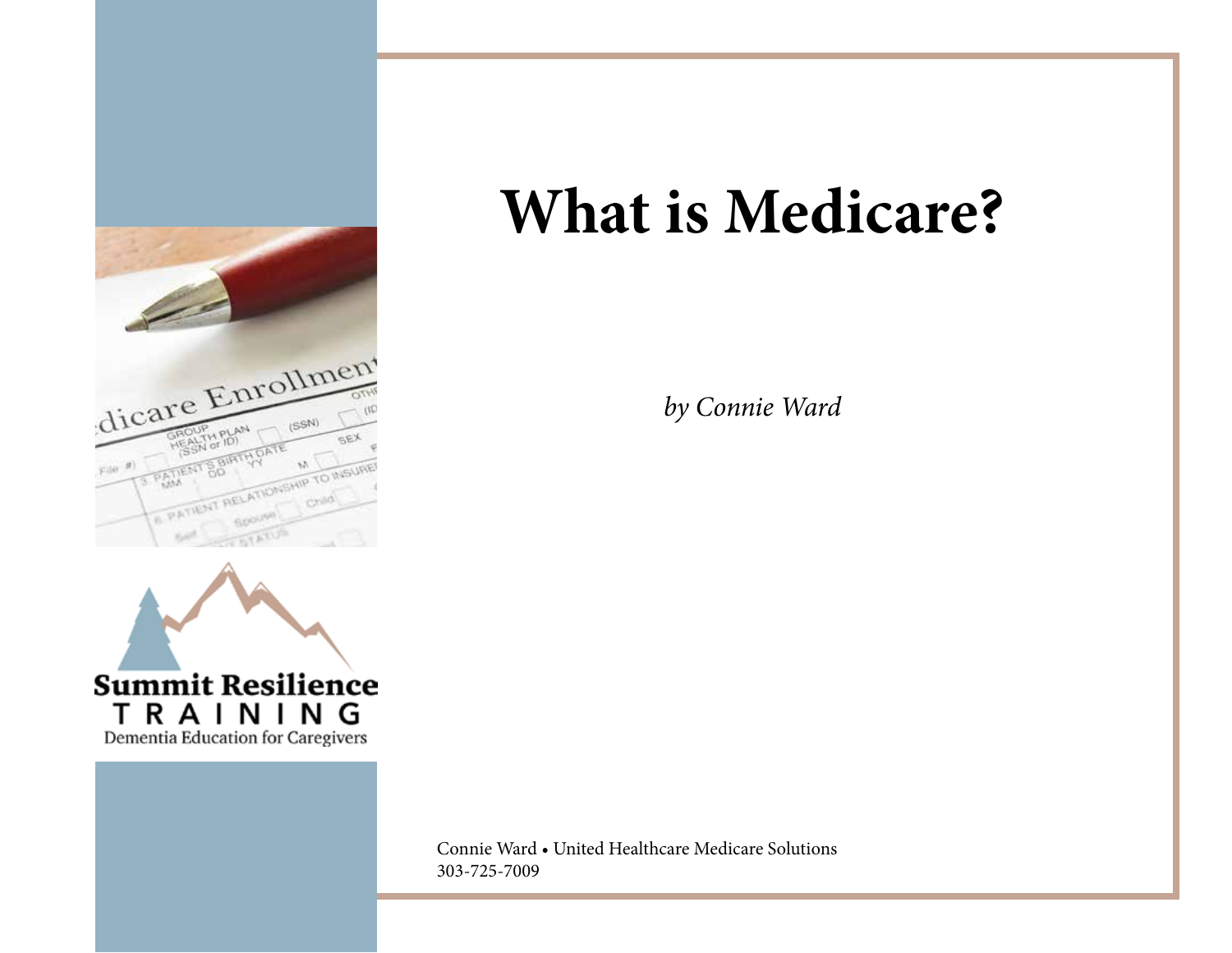



*by Connie Ward* 

Connie Ward • United Healthcare Medicare Solutions 303-725-7009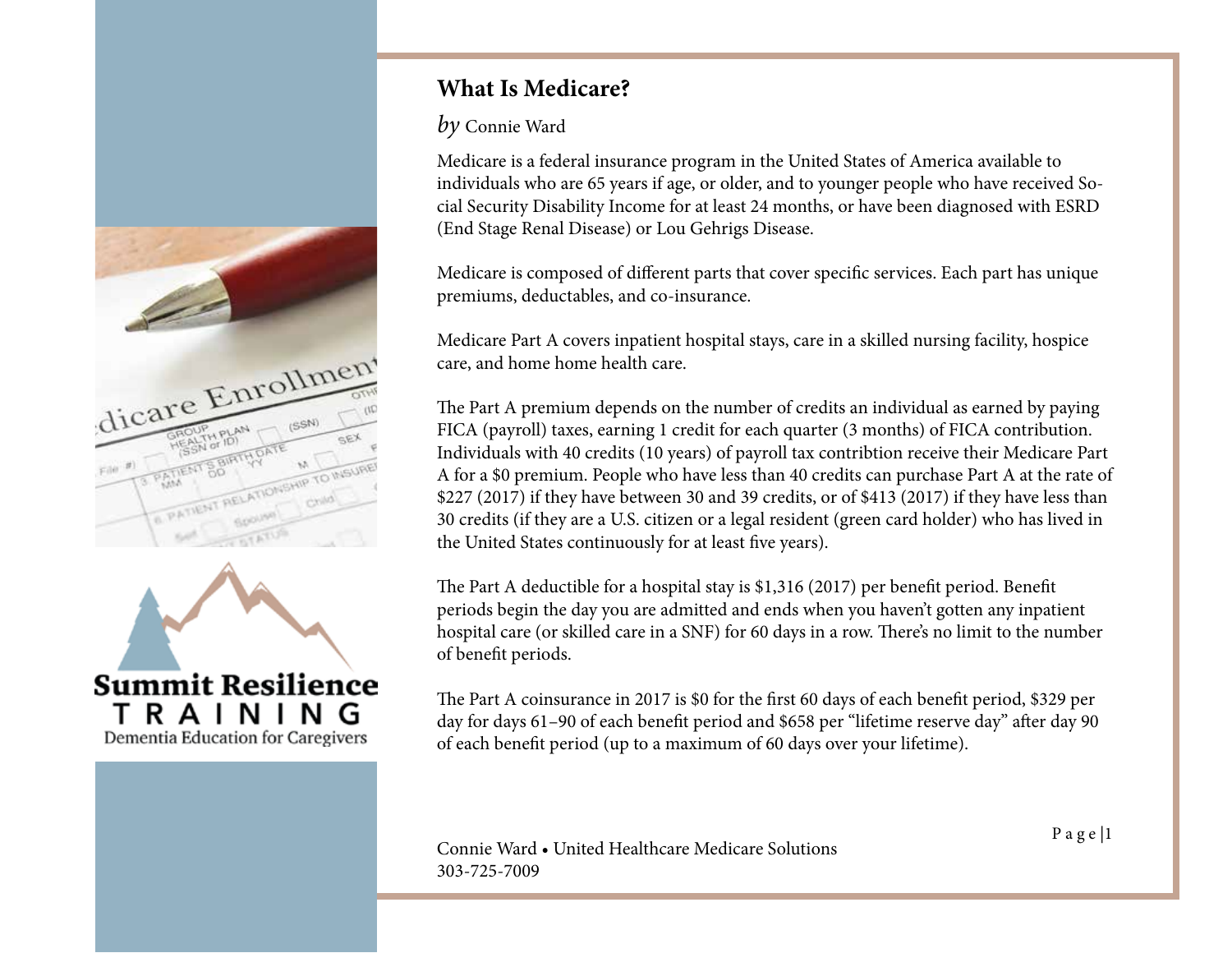



*by* Connie Ward

Medicare is a federal insurance program in the United States of America available to individuals who are 65 years if age, or older, and to younger people who have received Social Security Disability Income for at least 24 months, or have been diagnosed with ESRD (End Stage Renal Disease) or Lou Gehrigs Disease.

Medicare is composed of different parts that cover specific services. Each part has unique premiums, deductables, and co-insurance.

Medicare Part A covers inpatient hospital stays, care in a skilled nursing facility, hospice care, and home home health care.

The Part A premium depends on the number of credits an individual as earned by paying FICA (payroll) taxes, earning 1 credit for each quarter (3 months) of FICA contribution. Individuals with 40 credits (10 years) of payroll tax contribtion receive their Medicare Part A for a \$0 premium. People who have less than 40 credits can purchase Part A at the rate of \$227 (2017) if they have between 30 and 39 credits, or of \$413 (2017) if they have less than 30 credits (if they are a U.S. citizen or a legal resident (green card holder) who has lived in the United States continuously for at least five years).

The Part A deductible for a hospital stay is \$1,316 (2017) per benefit period. Benefit periods begin the day you are admitted and ends when you haven't gotten any inpatient hospital care (or skilled care in a SNF) for 60 days in a row. There's no limit to the number of benefit periods.

The Part A coinsurance in 2017 is \$0 for the first 60 days of each benefit period, \$329 per day for days 61–90 of each benefit period and \$658 per "lifetime reserve day" after day 90 of each benefit period (up to a maximum of 60 days over your lifetime).

P a g e |1 Connie Ward • United Healthcare Medicare Solutions 303-725-7009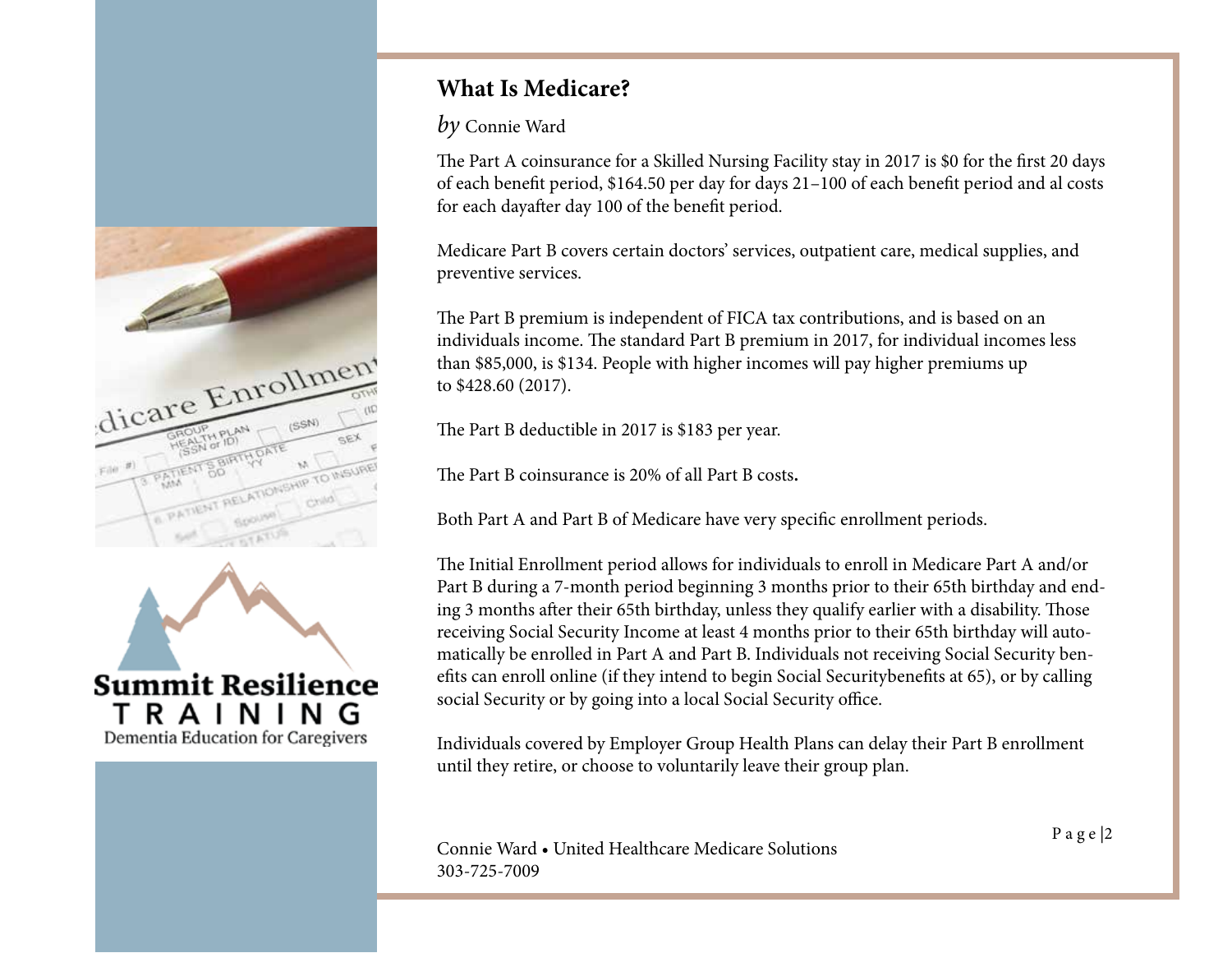



*by* Connie Ward

The Part A coinsurance for a Skilled Nursing Facility stay in 2017 is \$0 for the first 20 days of each benefit period, \$164.50 per day for days 21–100 of each benefit period and al costs for each dayafter day 100 of the benefit period.

Medicare Part B covers certain doctors' services, outpatient care, medical supplies, and preventive services.

The Part B premium is independent of FICA tax contributions, and is based on an individuals income. The standard Part B premium in 2017, for individual incomes less than \$85,000, is \$134. People with higher incomes will pay higher premiums up to \$428.60 (2017).

The Part B deductible in 2017 is \$183 per year.

The Part B coinsurance is 20% of all Part B costs**.**

Both Part A and Part B of Medicare have very specific enrollment periods.

The Initial Enrollment period allows for individuals to enroll in Medicare Part A and/or Part B during a 7-month period beginning 3 months prior to their 65th birthday and ending 3 months after their 65th birthday, unless they qualify earlier with a disability. Those receiving Social Security Income at least 4 months prior to their 65th birthday will automatically be enrolled in Part A and Part B. Individuals not receiving Social Security benefits can enroll online (if they intend to begin Social Securitybenefits at 65), or by calling social Security or by going into a local Social Security office.

Individuals covered by Employer Group Health Plans can delay their Part B enrollment until they retire, or choose to voluntarily leave their group plan.

P a g e |2 Connie Ward • United Healthcare Medicare Solutions 303-725-7009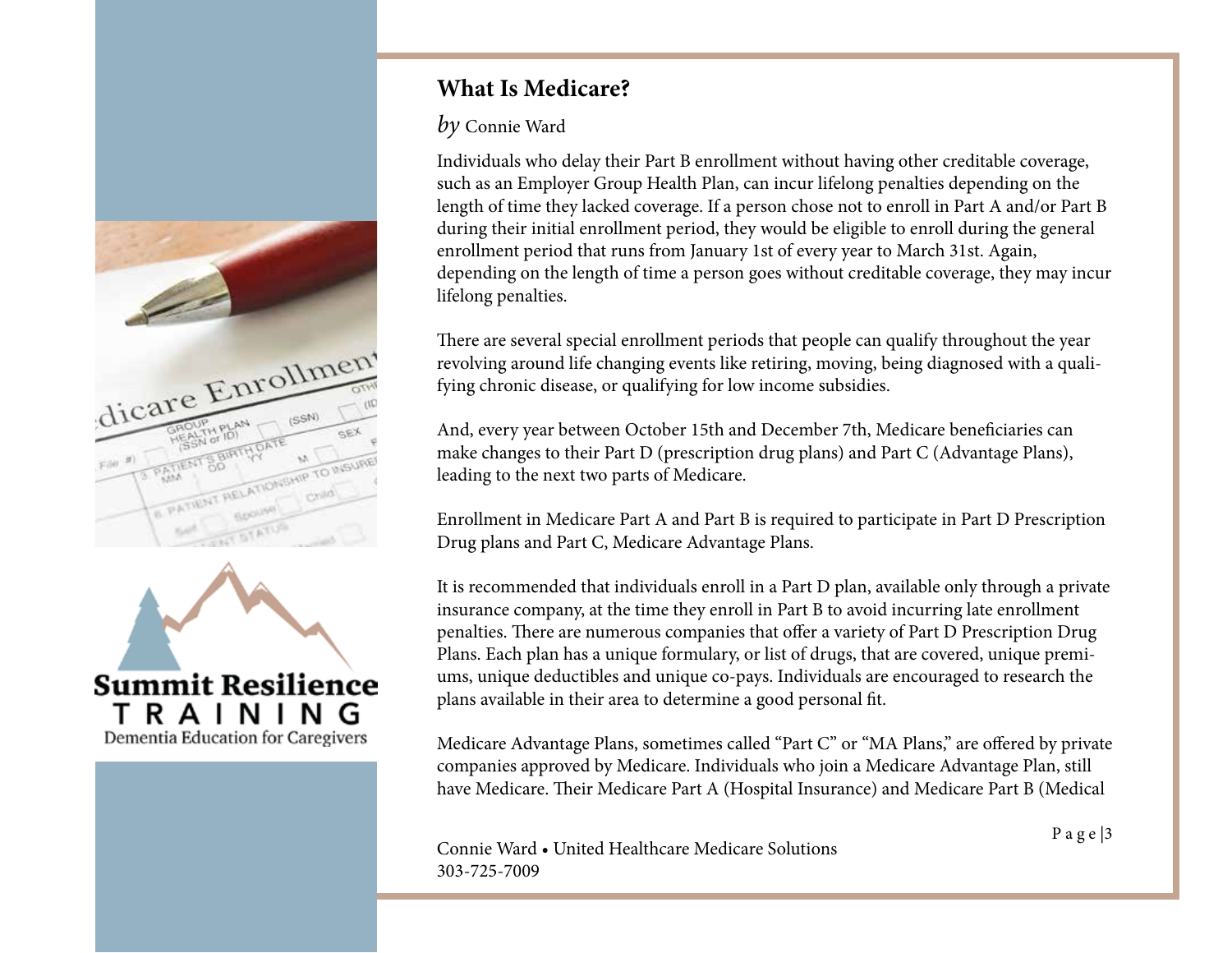



#### *by* Connie Ward

Individuals who delay their Part B enrollment without having other creditable coverage, such as an Employer Group Health Plan, can incur lifelong penalties depending on the length of time they lacked coverage. If a person chose not to enroll in Part A and/or Part B during their initial enrollment period, they would be eligible to enroll during the general enrollment period that runs from January 1st of every year to March 31st. Again, depending on the length of time a person goes without creditable coverage, they may incur lifelong penalties.

There are several special enrollment periods that people can qualify throughout the year revolving around life changing events like retiring, moving, being diagnosed with a qualifying chronic disease, or qualifying for low income subsidies.

And, every year between October 15th and December 7th, Medicare beneficiaries can make changes to their Part D (prescription drug plans) and Part C (Advantage Plans), leading to the next two parts of Medicare.

Enrollment in Medicare Part A and Part B is required to participate in Part D Prescription Drug plans and Part C, Medicare Advantage Plans.

It is recommended that individuals enroll in a Part D plan, available only through a private insurance company, at the time they enroll in Part B to avoid incurring late enrollment penalties. There are numerous companies that offer a variety of Part D Prescription Drug Plans. Each plan has a unique formulary, or list of drugs, that are covered, unique premiums, unique deductibles and unique co-pays. Individuals are encouraged to research the plans available in their area to determine a good personal fit.

Medicare Advantage Plans, sometimes called "Part C" or "MA Plans," are offered by private companies approved by Medicare. Individuals who join a Medicare Advantage Plan, still have Medicare. Their Medicare Part A (Hospital Insurance) and Medicare Part B (Medical

P a g e |3 Connie Ward • United Healthcare Medicare Solutions 303-725-7009